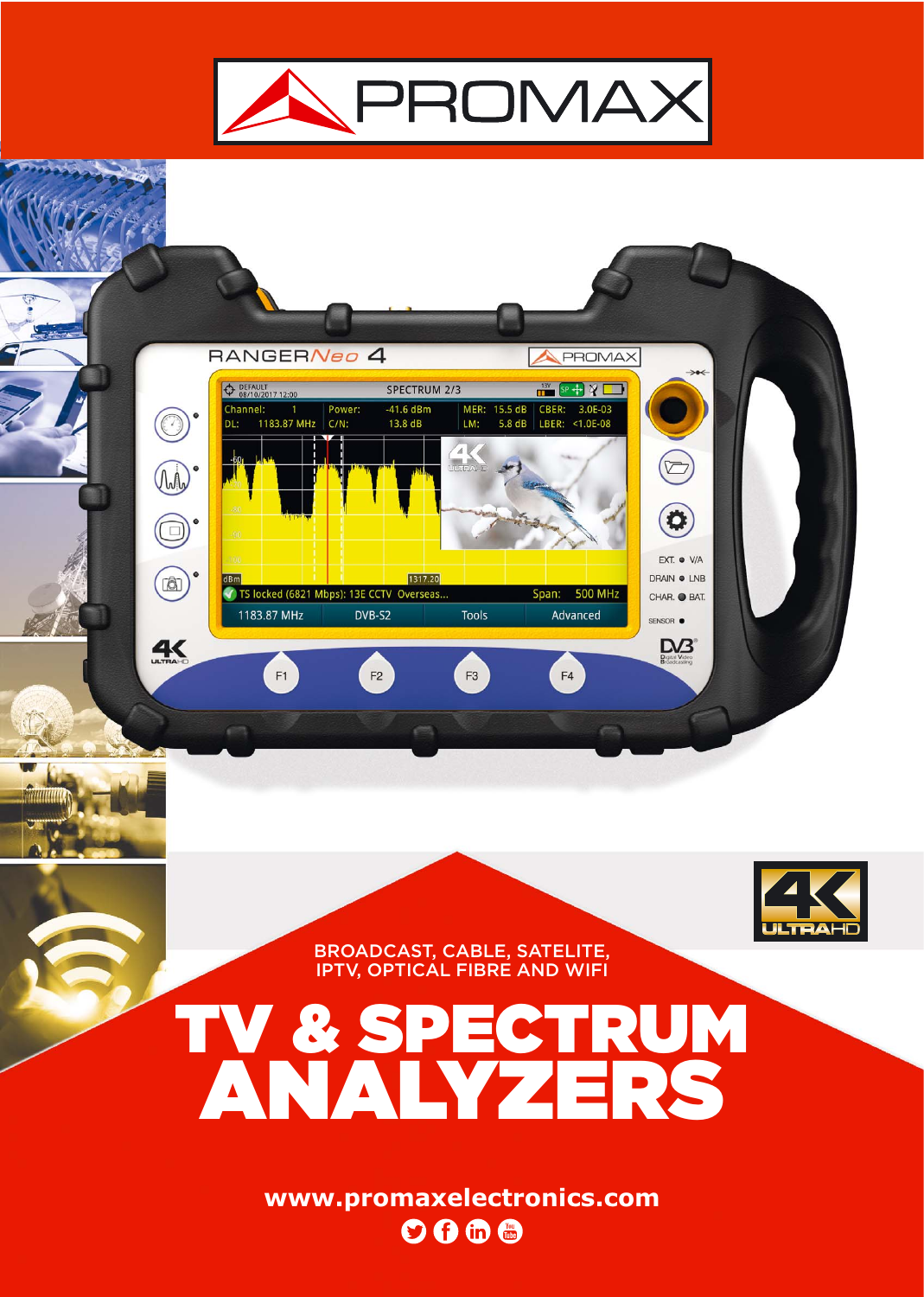





BROADCAST, CABLE, SATELITE, IPTV, OPTICAL FIBRE AND WIFI

## TV & SPECTRUM ANALYZERS

**www.promaxelectronics.com**  $\overline{\mathbf{O}}\mathbf{G}$  for  $\mathbf{E}$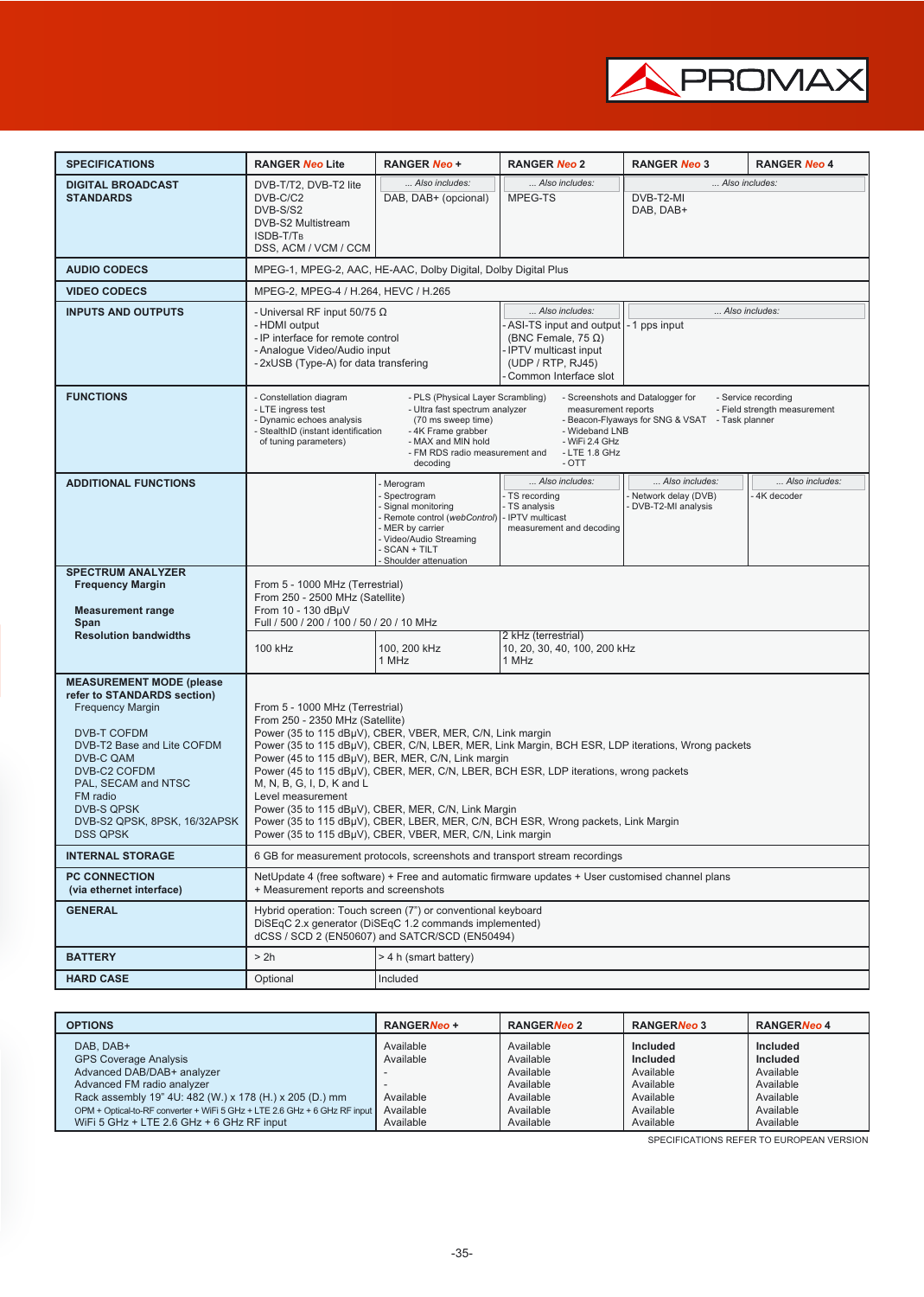

| <b>SPECIFICATIONS</b>                                                                                                                                                                                                                                                                  | <b>RANGER Neo Lite</b>                                                                                                                                                                                                                                                                                                                                                                                                                                                                                                                                                                                                                        | <b>RANGER Neo +</b>                                                                                                                                                                  | <b>RANGER Neo 2</b>                                                                                                                                                               | <b>RANGER Neo 3</b>                                         | <b>RANGER Neo 4</b>          |  |  |  |  |
|----------------------------------------------------------------------------------------------------------------------------------------------------------------------------------------------------------------------------------------------------------------------------------------|-----------------------------------------------------------------------------------------------------------------------------------------------------------------------------------------------------------------------------------------------------------------------------------------------------------------------------------------------------------------------------------------------------------------------------------------------------------------------------------------------------------------------------------------------------------------------------------------------------------------------------------------------|--------------------------------------------------------------------------------------------------------------------------------------------------------------------------------------|-----------------------------------------------------------------------------------------------------------------------------------------------------------------------------------|-------------------------------------------------------------|------------------------------|--|--|--|--|
| <b>DIGITAL BROADCAST</b><br><b>STANDARDS</b>                                                                                                                                                                                                                                           | DVB-T/T2, DVB-T2 lite<br>DVB-C/C2<br>DVB-S/S2<br>DVB-S2 Multistream<br>ISDB-T/T <sub>B</sub><br>DSS, ACM / VCM / CCM                                                                                                                                                                                                                                                                                                                                                                                                                                                                                                                          | Also includes:<br>DAB, DAB+ (opcional)                                                                                                                                               | Also includes:<br>MPEG-TS                                                                                                                                                         | Also includes:<br>DVB-T2-MI<br>DAB, DAB+                    |                              |  |  |  |  |
| <b>AUDIO CODECS</b>                                                                                                                                                                                                                                                                    |                                                                                                                                                                                                                                                                                                                                                                                                                                                                                                                                                                                                                                               | MPEG-1, MPEG-2, AAC, HE-AAC, Dolby Digital, Dolby Digital Plus                                                                                                                       |                                                                                                                                                                                   |                                                             |                              |  |  |  |  |
| <b>VIDEO CODECS</b>                                                                                                                                                                                                                                                                    | MPEG-2, MPEG-4 / H.264, HEVC / H.265                                                                                                                                                                                                                                                                                                                                                                                                                                                                                                                                                                                                          |                                                                                                                                                                                      |                                                                                                                                                                                   |                                                             |                              |  |  |  |  |
| <b>INPUTS AND OUTPUTS</b>                                                                                                                                                                                                                                                              | - Universal RF input 50/75 $\Omega$<br>- HDMI output<br>- IP interface for remote control<br>- Analogue Video/Audio input<br>-2xUSB (Type-A) for data transfering                                                                                                                                                                                                                                                                                                                                                                                                                                                                             |                                                                                                                                                                                      | Also includes:<br>Also includes:<br>ASI-TS input and output   - 1 pps input<br>(BNC Female, 75 $\Omega$ )<br>- IPTV multicast input<br>(UDP / RTP, RJ45)<br>Common Interface slot |                                                             |                              |  |  |  |  |
| <b>FUNCTIONS</b>                                                                                                                                                                                                                                                                       | - Constellation diagram<br>- PLS (Physical Layer Scrambling)<br>- Screenshots and Datalogger for<br>- Service recording<br>- LTE ingress test<br>- Ultra fast spectrum analyzer<br>- Field strength measurement<br>measurement reports<br>- Dynamic echoes analysis<br>(70 ms sweep time)<br>- Beacon-Flyaways for SNG & VSAT - Task planner<br>- StealthID (instant identification<br>- 4K Frame grabber<br>- Wideband LNB<br>of tuning parameters)<br>- MAX and MIN hold<br>- WiFi 2.4 GHz<br>- FM RDS radio measurement and<br>- LTE 1.8 GHz<br>decodina<br>- OTT                                                                          |                                                                                                                                                                                      |                                                                                                                                                                                   |                                                             |                              |  |  |  |  |
| <b>ADDITIONAL FUNCTIONS</b>                                                                                                                                                                                                                                                            |                                                                                                                                                                                                                                                                                                                                                                                                                                                                                                                                                                                                                                               | Merogram<br>Spectrogram<br>Signal monitoring<br>Remote control (webControl) - IPTV multicast<br>MER by carrier<br>- Video/Audio Streaming<br>- SCAN + TILT<br>- Shoulder attenuation | Also includes:<br>- TS recording<br>- TS analysis<br>measurement and decoding                                                                                                     | Also includes:<br>Network delay (DVB)<br>DVB-T2-MI analysis | Also includes:<br>4K decoder |  |  |  |  |
| <b>SPECTRUM ANALYZER</b><br><b>Frequency Margin</b><br><b>Measurement range</b><br>Span                                                                                                                                                                                                | From 5 - 1000 MHz (Terrestrial)<br>From 250 - 2500 MHz (Satellite)<br>From 10 - 130 dBµV<br>Full / 500 / 200 / 100 / 50 / 20 / 10 MHz                                                                                                                                                                                                                                                                                                                                                                                                                                                                                                         |                                                                                                                                                                                      |                                                                                                                                                                                   |                                                             |                              |  |  |  |  |
| <b>Resolution bandwidths</b>                                                                                                                                                                                                                                                           | 100 kHz                                                                                                                                                                                                                                                                                                                                                                                                                                                                                                                                                                                                                                       | 100, 200 kHz<br>1 MHz                                                                                                                                                                | 2 kHz (terrestrial)<br>10, 20, 30, 40, 100, 200 kHz<br>1 MHz                                                                                                                      |                                                             |                              |  |  |  |  |
| <b>MEASUREMENT MODE (please)</b><br>refer to STANDARDS section)<br><b>Frequency Margin</b><br><b>DVB-T COFDM</b><br>DVB-T2 Base and Lite COFDM<br>DVB-C QAM<br>DVB-C2 COFDM<br>PAL, SECAM and NTSC<br>FM radio<br><b>DVB-S QPSK</b><br>DVB-S2 OPSK, 8PSK, 16/32APSK<br><b>DSS QPSK</b> | From 5 - 1000 MHz (Terrestrial)<br>From 250 - 2350 MHz (Satellite)<br>Power (35 to 115 dBµV), CBER, VBER, MER, C/N, Link margin<br>Power (35 to 115 dBµV), CBER, C/N, LBER, MER, Link Margin, BCH ESR, LDP iterations, Wrong packets<br>Power (45 to 115 dBµV), BER, MER, C/N, Link margin<br>Power (45 to 115 dBµV), CBER, MER, C/N, LBER, BCH ESR, LDP iterations, wrong packets<br>M, N, B, G, I, D, K and L<br>Level measurement<br>Power (35 to 115 dBµV), CBER, MER, C/N, Link Margin<br>Power (35 to 115 dBµV), CBER, LBER, MER, C/N, BCH ESR, Wrong packets, Link Margin<br>Power (35 to 115 dBµV), CBER, VBER, MER, C/N, Link margin |                                                                                                                                                                                      |                                                                                                                                                                                   |                                                             |                              |  |  |  |  |
| <b>INTERNAL STORAGE</b>                                                                                                                                                                                                                                                                |                                                                                                                                                                                                                                                                                                                                                                                                                                                                                                                                                                                                                                               |                                                                                                                                                                                      | 6 GB for measurement protocols, screenshots and transport stream recordings                                                                                                       |                                                             |                              |  |  |  |  |
| <b>PC CONNECTION</b><br>(via ethernet interface)                                                                                                                                                                                                                                       | NetUpdate 4 (free software) + Free and automatic firmware updates + User customised channel plans<br>+ Measurement reports and screenshots                                                                                                                                                                                                                                                                                                                                                                                                                                                                                                    |                                                                                                                                                                                      |                                                                                                                                                                                   |                                                             |                              |  |  |  |  |
| <b>GENERAL</b>                                                                                                                                                                                                                                                                         | Hybrid operation: Touch screen (7") or conventional keyboard<br>DiSEqC 2.x generator (DiSEqC 1.2 commands implemented)<br>dCSS / SCD 2 (EN50607) and SATCR/SCD (EN50494)                                                                                                                                                                                                                                                                                                                                                                                                                                                                      |                                                                                                                                                                                      |                                                                                                                                                                                   |                                                             |                              |  |  |  |  |
| <b>BATTERY</b>                                                                                                                                                                                                                                                                         | > 2h                                                                                                                                                                                                                                                                                                                                                                                                                                                                                                                                                                                                                                          | > 4 h (smart battery)                                                                                                                                                                |                                                                                                                                                                                   |                                                             |                              |  |  |  |  |
| <b>HARD CASE</b>                                                                                                                                                                                                                                                                       | Optional                                                                                                                                                                                                                                                                                                                                                                                                                                                                                                                                                                                                                                      | Included                                                                                                                                                                             |                                                                                                                                                                                   |                                                             |                              |  |  |  |  |

| <b>OPTIONS</b>                                                                        | <b>RANGERNeo +</b> | <b>RANGERNeo 2</b> | <b>RANGERNeo 3</b> | RANGERNeo 4     |  |
|---------------------------------------------------------------------------------------|--------------------|--------------------|--------------------|-----------------|--|
| DAB, DAB+                                                                             | Available          | Available          | Included           | Included        |  |
| <b>GPS Coverage Analysis</b>                                                          | Available          | Available          | Included           | <b>Included</b> |  |
| Advanced DAB/DAB+ analyzer                                                            |                    | Available          | Available          | Available       |  |
| Advanced FM radio analyzer                                                            |                    | Available          | Available          | Available       |  |
| Rack assembly 19" 4U: 482 (W.) x 178 (H.) x 205 (D.) mm                               | Available          | Available          | Available          | Available       |  |
| OPM + Optical-to-RF converter + WiFi 5 GHz + LTE 2.6 GHz + 6 GHz RF input   Available |                    | Available          | Available          | Available       |  |
| WiFi 5 GHz + LTE 2.6 GHz + 6 GHz RF input                                             | Available          | Available          | Available          | Available       |  |

SPECIFICATIONS REFER TO EUROPEAN VERSION